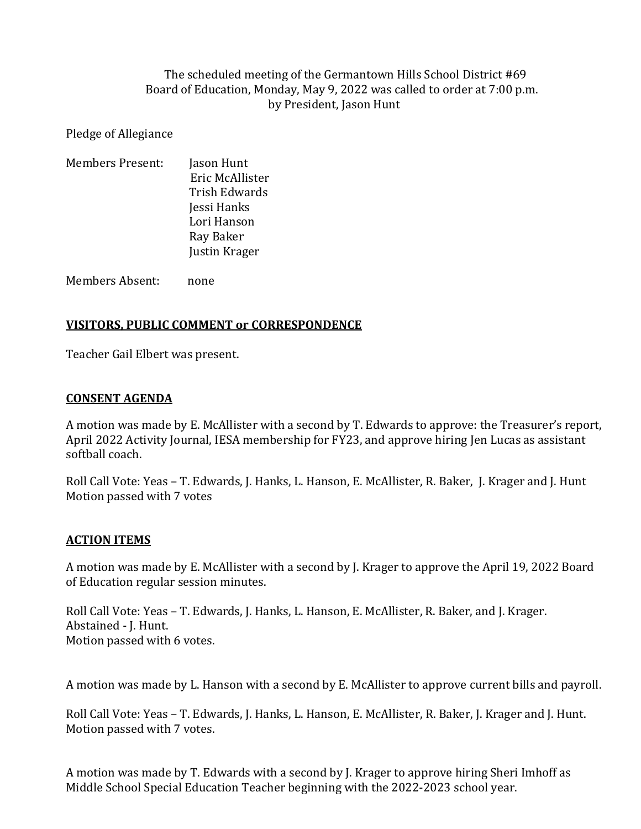### The scheduled meeting of the Germantown Hills School District #69 Board of Education, Monday, May 9, 2022 was called to order at 7:00 p.m. by President, Jason Hunt

Pledge of Allegiance

| <b>Members Present:</b> | Jason Hunt      |
|-------------------------|-----------------|
|                         | Eric McAllister |
|                         | Trish Edwards   |
|                         | Jessi Hanks     |
|                         | Lori Hanson     |
|                         | Ray Baker       |
|                         | Justin Krager   |
|                         |                 |

Members Absent: none

#### **VISITORS, PUBLIC COMMENT or CORRESPONDENCE**

Teacher Gail Elbert was present.

#### **CONSENT AGENDA**

A motion was made by E. McAllister with a second by T. Edwards to approve: the Treasurer's report, April 2022 Activity Journal, IESA membership for FY23, and approve hiring Jen Lucas as assistant softball coach.

Roll Call Vote: Yeas – T. Edwards, J. Hanks, L. Hanson, E. McAllister, R. Baker, J. Krager and J. Hunt Motion passed with 7 votes

### **ACTION ITEMS**

A motion was made by E. McAllister with a second by J. Krager to approve the April 19, 2022 Board of Education regular session minutes.

Roll Call Vote: Yeas – T. Edwards, J. Hanks, L. Hanson, E. McAllister, R. Baker, and J. Krager. Abstained - J. Hunt. Motion passed with 6 votes.

A motion was made by L. Hanson with a second by E. McAllister to approve current bills and payroll.

Roll Call Vote: Yeas – T. Edwards, J. Hanks, L. Hanson, E. McAllister, R. Baker, J. Krager and J. Hunt. Motion passed with 7 votes.

A motion was made by T. Edwards with a second by J. Krager to approve hiring Sheri Imhoff as Middle School Special Education Teacher beginning with the 2022-2023 school year.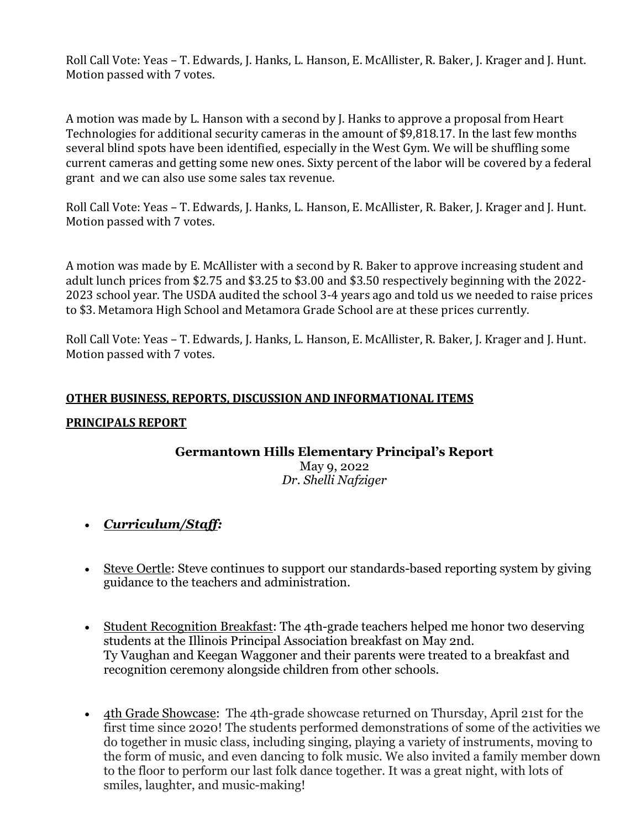Roll Call Vote: Yeas – T. Edwards, J. Hanks, L. Hanson, E. McAllister, R. Baker, J. Krager and J. Hunt. Motion passed with 7 votes.

A motion was made by L. Hanson with a second by J. Hanks to approve a proposal from Heart Technologies for additional security cameras in the amount of \$9,818.17. In the last few months several blind spots have been identified, especially in the West Gym. We will be shuffling some current cameras and getting some new ones. Sixty percent of the labor will be covered by a federal grant and we can also use some sales tax revenue.

Roll Call Vote: Yeas – T. Edwards, J. Hanks, L. Hanson, E. McAllister, R. Baker, J. Krager and J. Hunt. Motion passed with 7 votes.

A motion was made by E. McAllister with a second by R. Baker to approve increasing student and adult lunch prices from \$2.75 and \$3.25 to \$3.00 and \$3.50 respectively beginning with the 2022- 2023 school year. The USDA audited the school 3-4 years ago and told us we needed to raise prices to \$3. Metamora High School and Metamora Grade School are at these prices currently.

Roll Call Vote: Yeas – T. Edwards, J. Hanks, L. Hanson, E. McAllister, R. Baker, J. Krager and J. Hunt. Motion passed with 7 votes.

### **OTHER BUSINESS, REPORTS, DISCUSSION AND INFORMATIONAL ITEMS**

### **PRINCIPALS REPORT**

# **Germantown Hills Elementary Principal's Report**

May 9, 2022 *Dr. Shelli Nafziger*

- *Curriculum/Staff:*
- Steve Oertle: Steve continues to support our standards-based reporting system by giving guidance to the teachers and administration.
- Student Recognition Breakfast: The 4th-grade teachers helped me honor two deserving students at the Illinois Principal Association breakfast on May 2nd. Ty Vaughan and Keegan Waggoner and their parents were treated to a breakfast and recognition ceremony alongside children from other schools.
- 4th Grade Showcase: The 4th-grade showcase returned on Thursday, April 21st for the first time since 2020! The students performed demonstrations of some of the activities we do together in music class, including singing, playing a variety of instruments, moving to the form of music, and even dancing to folk music. We also invited a family member down to the floor to perform our last folk dance together. It was a great night, with lots of smiles, laughter, and music-making!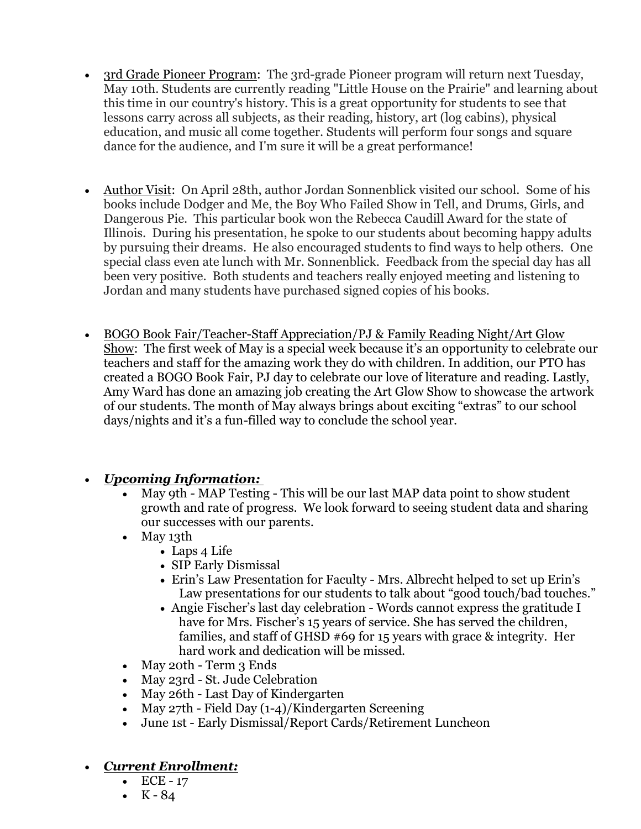- 3rd Grade Pioneer Program: The 3rd-grade Pioneer program will return next Tuesday, May 10th. Students are currently reading "Little House on the Prairie" and learning about this time in our country's history. This is a great opportunity for students to see that lessons carry across all subjects, as their reading, history, art (log cabins), physical education, and music all come together. Students will perform four songs and square dance for the audience, and I'm sure it will be a great performance!
- Author Visit: On April 28th, author Jordan Sonnenblick visited our school. Some of his books include Dodger and Me, the Boy Who Failed Show in Tell, and Drums, Girls, and Dangerous Pie. This particular book won the Rebecca Caudill Award for the state of Illinois. During his presentation, he spoke to our students about becoming happy adults by pursuing their dreams. He also encouraged students to find ways to help others. One special class even ate lunch with Mr. Sonnenblick. Feedback from the special day has all been very positive. Both students and teachers really enjoyed meeting and listening to Jordan and many students have purchased signed copies of his books.
- BOGO Book Fair/Teacher-Staff Appreciation/PJ & Family Reading Night/Art Glow Show: The first week of May is a special week because it's an opportunity to celebrate our teachers and staff for the amazing work they do with children. In addition, our PTO has created a BOGO Book Fair, PJ day to celebrate our love of literature and reading. Lastly, Amy Ward has done an amazing job creating the Art Glow Show to showcase the artwork of our students. The month of May always brings about exciting "extras" to our school days/nights and it's a fun-filled way to conclude the school year.

# *Upcoming Information:*

- May 9th *-* MAP Testing This will be our last MAP data point to show student growth and rate of progress. We look forward to seeing student data and sharing our successes with our parents.
- May 13th
	- Laps 4 Life
	- SIP Early Dismissal
	- Erin's Law Presentation for Faculty Mrs. Albrecht helped to set up Erin's Law presentations for our students to talk about "good touch/bad touches."
	- Angie Fischer's last day celebration Words cannot express the gratitude I have for Mrs. Fischer's 15 years of service. She has served the children, families, and staff of GHSD #69 for 15 years with grace & integrity. Her hard work and dedication will be missed.
- May 20th Term 3 Ends
- May 23rd St. Jude Celebration
- May 26th Last Day of Kindergarten
- May  $27th$  Field Day  $(1-4)/$ Kindergarten Screening
- June 1st Early Dismissal/Report Cards/Retirement Luncheon

# *Current Enrollment:*

- $\bullet$  ECE 17
- $\cdot$  K 84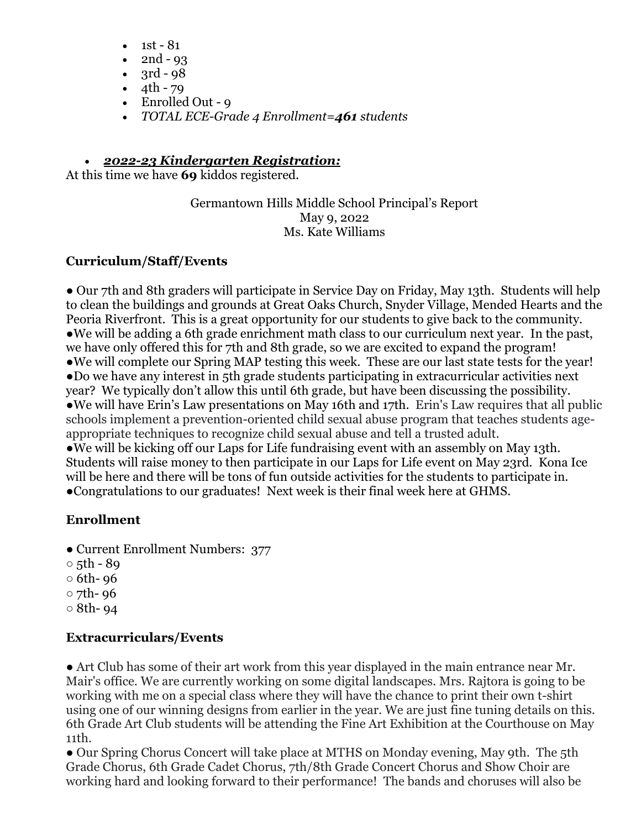- 1st 81
- 2nd 93
- $3rd 98$
- $\cdot$  4th 79
- Enrolled Out 9
- *TOTAL ECE-Grade 4 Enrollment=461 students*

# *2022-23 Kindergarten Registration:*

At this time we have **69** kiddos registered.

Germantown Hills Middle School Principal's Report May 9, 2022 Ms. Kate Williams

# **Curriculum/Staff/Events**

• Our 7th and 8th graders will participate in Service Day on Friday, May 13th. Students will help to clean the buildings and grounds at Great Oaks Church, Snyder Village, Mended Hearts and the Peoria Riverfront. This is a great opportunity for our students to give back to the community. ●We will be adding a 6th grade enrichment math class to our curriculum next year. In the past, we have only offered this for 7th and 8th grade, so we are excited to expand the program! ●We will complete our Spring MAP testing this week. These are our last state tests for the year! ●Do we have any interest in 5th grade students participating in extracurricular activities next year? We typically don't allow this until 6th grade, but have been discussing the possibility. ●We will have Erin's Law presentations on May 16th and 17th. Erin's Law requires that all public schools implement a prevention-oriented child sexual abuse program that teaches students ageappropriate techniques to recognize child sexual abuse and tell a trusted adult. ●We will be kicking off our Laps for Life fundraising event with an assembly on May 13th. Students will raise money to then participate in our Laps for Life event on May 23rd. Kona Ice will be here and there will be tons of fun outside activities for the students to participate in. ●Congratulations to our graduates! Next week is their final week here at GHMS.

# **Enrollment**

- Current Enrollment Numbers: 377
- $\circ$  5th 89
- $\circ$  6th- 96
- 7th- 96
- $\circ$  8th- 94

# **Extracurriculars/Events**

● Art Club has some of their art work from this year displayed in the main entrance near Mr. Mair's office. We are currently working on some digital landscapes. Mrs. Rajtora is going to be working with me on a special class where they will have the chance to print their own t-shirt using one of our winning designs from earlier in the year. We are just fine tuning details on this. 6th Grade Art Club students will be attending the Fine Art Exhibition at the Courthouse on May 11th.

• Our Spring Chorus Concert will take place at MTHS on Monday evening, May 9th. The 5th Grade Chorus, 6th Grade Cadet Chorus, 7th/8th Grade Concert Chorus and Show Choir are working hard and looking forward to their performance! The bands and choruses will also be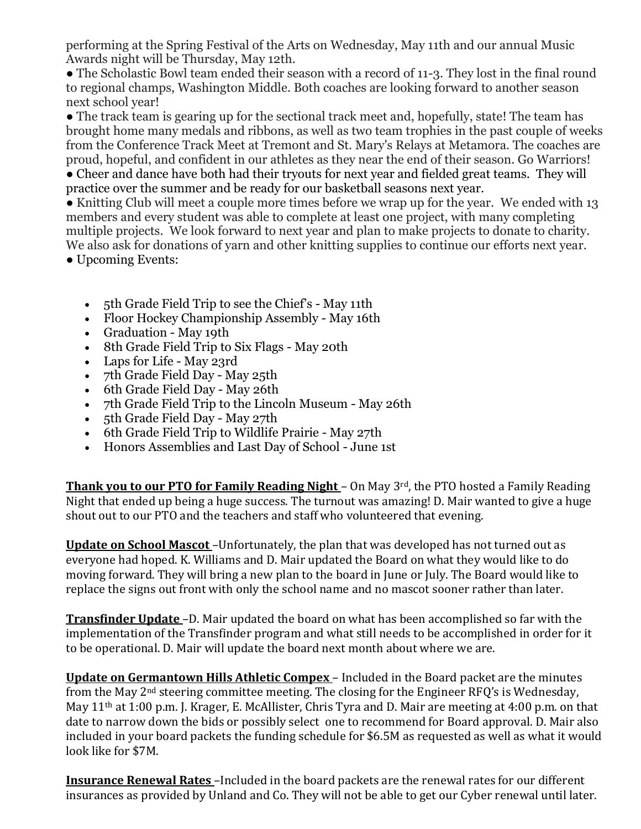performing at the Spring Festival of the Arts on Wednesday, May 11th and our annual Music Awards night will be Thursday, May 12th.

● The Scholastic Bowl team ended their season with a record of 11-3. They lost in the final round to regional champs, Washington Middle. Both coaches are looking forward to another season next school year!

• The track team is gearing up for the sectional track meet and, hopefully, state! The team has brought home many medals and ribbons, as well as two team trophies in the past couple of weeks from the Conference Track Meet at Tremont and St. Mary's Relays at Metamora. The coaches are proud, hopeful, and confident in our athletes as they near the end of their season. Go Warriors! • Cheer and dance have both had their tryouts for next year and fielded great teams. They will practice over the summer and be ready for our basketball seasons next year.

• Knitting Club will meet a couple more times before we wrap up for the year. We ended with 13 members and every student was able to complete at least one project, with many completing multiple projects. We look forward to next year and plan to make projects to donate to charity. We also ask for donations of yarn and other knitting supplies to continue our efforts next year.

● Upcoming Events:

- 5th Grade Field Trip to see the Chief's May 11th
- Floor Hockey Championship Assembly May 16th
- Graduation May 19th
- 8th Grade Field Trip to Six Flags May 20th
- Laps for Life May 23rd
- 7th Grade Field Day May 25th
- 6th Grade Field Day May 26th
- 7th Grade Field Trip to the Lincoln Museum May 26th
- 5th Grade Field Day May 27th
- 6th Grade Field Trip to Wildlife Prairie May 27th
- Honors Assemblies and Last Day of School June 1st

**Thank you to our PTO for Family Reading Night** – On May 3<sup>rd</sup>, the PTO hosted a Family Reading Night that ended up being a huge success. The turnout was amazing! D. Mair wanted to give a huge shout out to our PTO and the teachers and staff who volunteered that evening.

**Update on School Mascot** –Unfortunately, the plan that was developed has not turned out as everyone had hoped. K. Williams and D. Mair updated the Board on what they would like to do moving forward. They will bring a new plan to the board in June or July. The Board would like to replace the signs out front with only the school name and no mascot sooner rather than later.

**Transfinder Update** –D. Mair updated the board on what has been accomplished so far with the implementation of the Transfinder program and what still needs to be accomplished in order for it to be operational. D. Mair will update the board next month about where we are.

**Update on Germantown Hills Athletic Compex** – Included in the Board packet are the minutes from the May 2nd steering committee meeting. The closing for the Engineer RFQ's is Wednesday, May 11th at 1:00 p.m. J. Krager, E. McAllister, Chris Tyra and D. Mair are meeting at 4:00 p.m. on that date to narrow down the bids or possibly select one to recommend for Board approval. D. Mair also included in your board packets the funding schedule for \$6.5M as requested as well as what it would look like for \$7M.

**Insurance Renewal Rates** –Included in the board packets are the renewal rates for our different insurances as provided by Unland and Co. They will not be able to get our Cyber renewal until later.